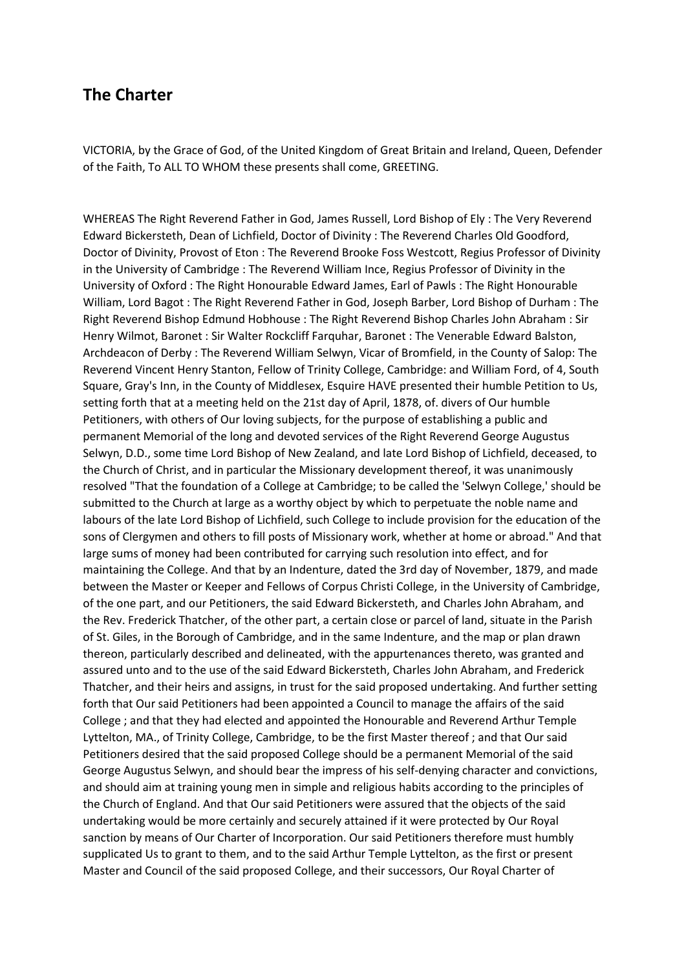## **The Charter**

VICTORIA, by the Grace of God, of the United Kingdom of Great Britain and Ireland, Queen, Defender of the Faith, To ALL TO WHOM these presents shall come, GREETING.

WHEREAS The Right Reverend Father in God, James Russell, Lord Bishop of Ely : The Very Reverend Edward Bickersteth, Dean of Lichfield, Doctor of Divinity : The Reverend Charles Old Goodford, Doctor of Divinity, Provost of Eton : The Reverend Brooke Foss Westcott, Regius Professor of Divinity in the University of Cambridge : The Reverend William Ince, Regius Professor of Divinity in the University of Oxford : The Right Honourable Edward James, Earl of Pawls : The Right Honourable William, Lord Bagot : The Right Reverend Father in God, Joseph Barber, Lord Bishop of Durham : The Right Reverend Bishop Edmund Hobhouse : The Right Reverend Bishop Charles John Abraham : Sir Henry Wilmot, Baronet : Sir Walter Rockcliff Farquhar, Baronet : The Venerable Edward Balston, Archdeacon of Derby : The Reverend William Selwyn, Vicar of Bromfield, in the County of Salop: The Reverend Vincent Henry Stanton, Fellow of Trinity College, Cambridge: and William Ford, of 4, South Square, Gray's Inn, in the County of Middlesex, Esquire HAVE presented their humble Petition to Us, setting forth that at a meeting held on the 21st day of April, 1878, of. divers of Our humble Petitioners, with others of Our loving subjects, for the purpose of establishing a public and permanent Memorial of the long and devoted services of the Right Reverend George Augustus Selwyn, D.D., some time Lord Bishop of New Zealand, and late Lord Bishop of Lichfield, deceased, to the Church of Christ, and in particular the Missionary development thereof, it was unanimously resolved "That the foundation of a College at Cambridge; to be called the 'Selwyn College,' should be submitted to the Church at large as a worthy object by which to perpetuate the noble name and labours of the late Lord Bishop of Lichfield, such College to include provision for the education of the sons of Clergymen and others to fill posts of Missionary work, whether at home or abroad." And that large sums of money had been contributed for carrying such resolution into effect, and for maintaining the College. And that by an Indenture, dated the 3rd day of November, 1879, and made between the Master or Keeper and Fellows of Corpus Christi College, in the University of Cambridge, of the one part, and our Petitioners, the said Edward Bickersteth, and Charles John Abraham, and the Rev. Frederick Thatcher, of the other part, a certain close or parcel of land, situate in the Parish of St. Giles, in the Borough of Cambridge, and in the same Indenture, and the map or plan drawn thereon, particularly described and delineated, with the appurtenances thereto, was granted and assured unto and to the use of the said Edward Bickersteth, Charles John Abraham, and Frederick Thatcher, and their heirs and assigns, in trust for the said proposed undertaking. And further setting forth that Our said Petitioners had been appointed a Council to manage the affairs of the said College ; and that they had elected and appointed the Honourable and Reverend Arthur Temple Lyttelton, MA., of Trinity College, Cambridge, to be the first Master thereof ; and that Our said Petitioners desired that the said proposed College should be a permanent Memorial of the said George Augustus Selwyn, and should bear the impress of his self-denying character and convictions, and should aim at training young men in simple and religious habits according to the principles of the Church of England. And that Our said Petitioners were assured that the objects of the said undertaking would be more certainly and securely attained if it were protected by Our Royal sanction by means of Our Charter of Incorporation. Our said Petitioners therefore must humbly supplicated Us to grant to them, and to the said Arthur Temple Lyttelton, as the first or present Master and Council of the said proposed College, and their successors, Our Royal Charter of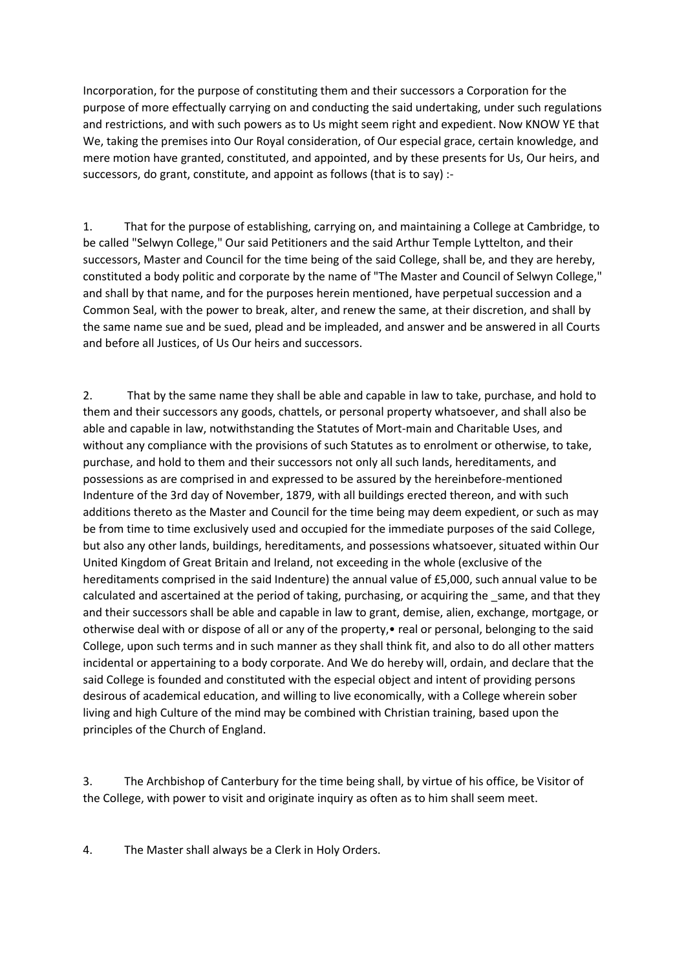Incorporation, for the purpose of constituting them and their successors a Corporation for the purpose of more effectually carrying on and conducting the said undertaking, under such regulations and restrictions, and with such powers as to Us might seem right and expedient. Now KNOW YE that We, taking the premises into Our Royal consideration, of Our especial grace, certain knowledge, and mere motion have granted, constituted, and appointed, and by these presents for Us, Our heirs, and successors, do grant, constitute, and appoint as follows (that is to say) :-

1. That for the purpose of establishing, carrying on, and maintaining a College at Cambridge, to be called "Selwyn College," Our said Petitioners and the said Arthur Temple Lyttelton, and their successors, Master and Council for the time being of the said College, shall be, and they are hereby, constituted a body politic and corporate by the name of "The Master and Council of Selwyn College," and shall by that name, and for the purposes herein mentioned, have perpetual succession and a Common Seal, with the power to break, alter, and renew the same, at their discretion, and shall by the same name sue and be sued, plead and be impleaded, and answer and be answered in all Courts and before all Justices, of Us Our heirs and successors.

2. That by the same name they shall be able and capable in law to take, purchase, and hold to them and their successors any goods, chattels, or personal property whatsoever, and shall also be able and capable in law, notwithstanding the Statutes of Mort-main and Charitable Uses, and without any compliance with the provisions of such Statutes as to enrolment or otherwise, to take, purchase, and hold to them and their successors not only all such lands, hereditaments, and possessions as are comprised in and expressed to be assured by the hereinbefore-mentioned Indenture of the 3rd day of November, 1879, with all buildings erected thereon, and with such additions thereto as the Master and Council for the time being may deem expedient, or such as may be from time to time exclusively used and occupied for the immediate purposes of the said College, but also any other lands, buildings, hereditaments, and possessions whatsoever, situated within Our United Kingdom of Great Britain and Ireland, not exceeding in the whole (exclusive of the hereditaments comprised in the said Indenture) the annual value of £5,000, such annual value to be calculated and ascertained at the period of taking, purchasing, or acquiring the same, and that they and their successors shall be able and capable in law to grant, demise, alien, exchange, mortgage, or otherwise deal with or dispose of all or any of the property,• real or personal, belonging to the said College, upon such terms and in such manner as they shall think fit, and also to do all other matters incidental or appertaining to a body corporate. And We do hereby will, ordain, and declare that the said College is founded and constituted with the especial object and intent of providing persons desirous of academical education, and willing to live economically, with a College wherein sober living and high Culture of the mind may be combined with Christian training, based upon the principles of the Church of England.

3. The Archbishop of Canterbury for the time being shall, by virtue of his office, be Visitor of the College, with power to visit and originate inquiry as often as to him shall seem meet.

4. The Master shall always be a Clerk in Holy Orders.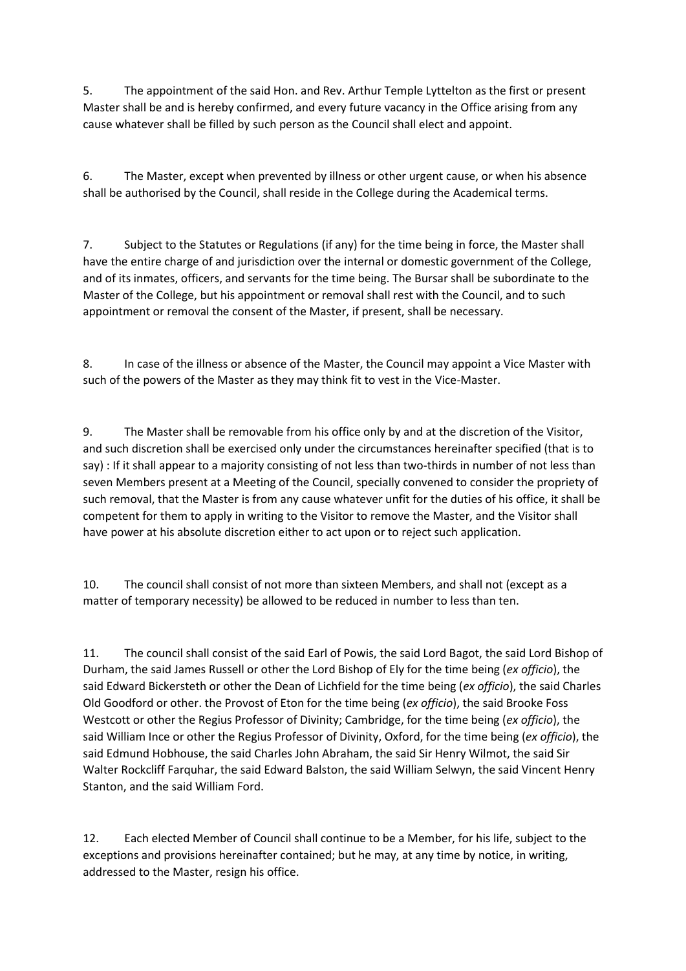5. The appointment of the said Hon. and Rev. Arthur Temple Lyttelton as the first or present Master shall be and is hereby confirmed, and every future vacancy in the Office arising from any cause whatever shall be filled by such person as the Council shall elect and appoint.

6. The Master, except when prevented by illness or other urgent cause, or when his absence shall be authorised by the Council, shall reside in the College during the Academical terms.

7. Subject to the Statutes or Regulations (if any) for the time being in force, the Master shall have the entire charge of and jurisdiction over the internal or domestic government of the College, and of its inmates, officers, and servants for the time being. The Bursar shall be subordinate to the Master of the College, but his appointment or removal shall rest with the Council, and to such appointment or removal the consent of the Master, if present, shall be necessary.

8. In case of the illness or absence of the Master, the Council may appoint a Vice Master with such of the powers of the Master as they may think fit to vest in the Vice-Master.

9. The Master shall be removable from his office only by and at the discretion of the Visitor, and such discretion shall be exercised only under the circumstances hereinafter specified (that is to say) : If it shall appear to a majority consisting of not less than two-thirds in number of not less than seven Members present at a Meeting of the Council, specially convened to consider the propriety of such removal, that the Master is from any cause whatever unfit for the duties of his office, it shall be competent for them to apply in writing to the Visitor to remove the Master, and the Visitor shall have power at his absolute discretion either to act upon or to reject such application.

10. The council shall consist of not more than sixteen Members, and shall not (except as a matter of temporary necessity) be allowed to be reduced in number to less than ten.

11. The council shall consist of the said Earl of Powis, the said Lord Bagot, the said Lord Bishop of Durham, the said James Russell or other the Lord Bishop of Ely for the time being (*ex officio*), the said Edward Bickersteth or other the Dean of Lichfield for the time being (*ex officio*), the said Charles Old Goodford or other. the Provost of Eton for the time being (*ex officio*), the said Brooke Foss Westcott or other the Regius Professor of Divinity; Cambridge, for the time being (*ex officio*), the said William Ince or other the Regius Professor of Divinity, Oxford, for the time being (*ex officio*), the said Edmund Hobhouse, the said Charles John Abraham, the said Sir Henry Wilmot, the said Sir Walter Rockcliff Farquhar, the said Edward Balston, the said William Selwyn, the said Vincent Henry Stanton, and the said William Ford.

12. Each elected Member of Council shall continue to be a Member, for his life, subject to the exceptions and provisions hereinafter contained; but he may, at any time by notice, in writing, addressed to the Master, resign his office.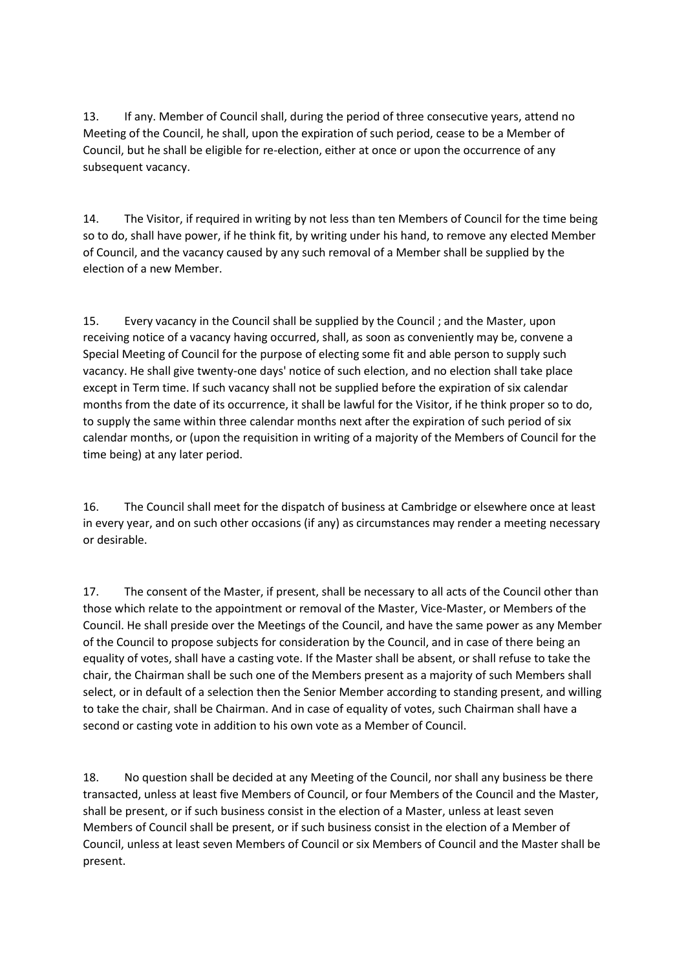13. If any. Member of Council shall, during the period of three consecutive years, attend no Meeting of the Council, he shall, upon the expiration of such period, cease to be a Member of Council, but he shall be eligible for re-election, either at once or upon the occurrence of any subsequent vacancy.

14. The Visitor, if required in writing by not less than ten Members of Council for the time being so to do, shall have power, if he think fit, by writing under his hand, to remove any elected Member of Council, and the vacancy caused by any such removal of a Member shall be supplied by the election of a new Member.

15. Every vacancy in the Council shall be supplied by the Council ; and the Master, upon receiving notice of a vacancy having occurred, shall, as soon as conveniently may be, convene a Special Meeting of Council for the purpose of electing some fit and able person to supply such vacancy. He shall give twenty-one days' notice of such election, and no election shall take place except in Term time. If such vacancy shall not be supplied before the expiration of six calendar months from the date of its occurrence, it shall be lawful for the Visitor, if he think proper so to do, to supply the same within three calendar months next after the expiration of such period of six calendar months, or (upon the requisition in writing of a majority of the Members of Council for the time being) at any later period.

16. The Council shall meet for the dispatch of business at Cambridge or elsewhere once at least in every year, and on such other occasions (if any) as circumstances may render a meeting necessary or desirable.

17. The consent of the Master, if present, shall be necessary to all acts of the Council other than those which relate to the appointment or removal of the Master, Vice-Master, or Members of the Council. He shall preside over the Meetings of the Council, and have the same power as any Member of the Council to propose subjects for consideration by the Council, and in case of there being an equality of votes, shall have a casting vote. If the Master shall be absent, or shall refuse to take the chair, the Chairman shall be such one of the Members present as a majority of such Members shall select, or in default of a selection then the Senior Member according to standing present, and willing to take the chair, shall be Chairman. And in case of equality of votes, such Chairman shall have a second or casting vote in addition to his own vote as a Member of Council.

18. No question shall be decided at any Meeting of the Council, nor shall any business be there transacted, unless at least five Members of Council, or four Members of the Council and the Master, shall be present, or if such business consist in the election of a Master, unless at least seven Members of Council shall be present, or if such business consist in the election of a Member of Council, unless at least seven Members of Council or six Members of Council and the Master shall be present.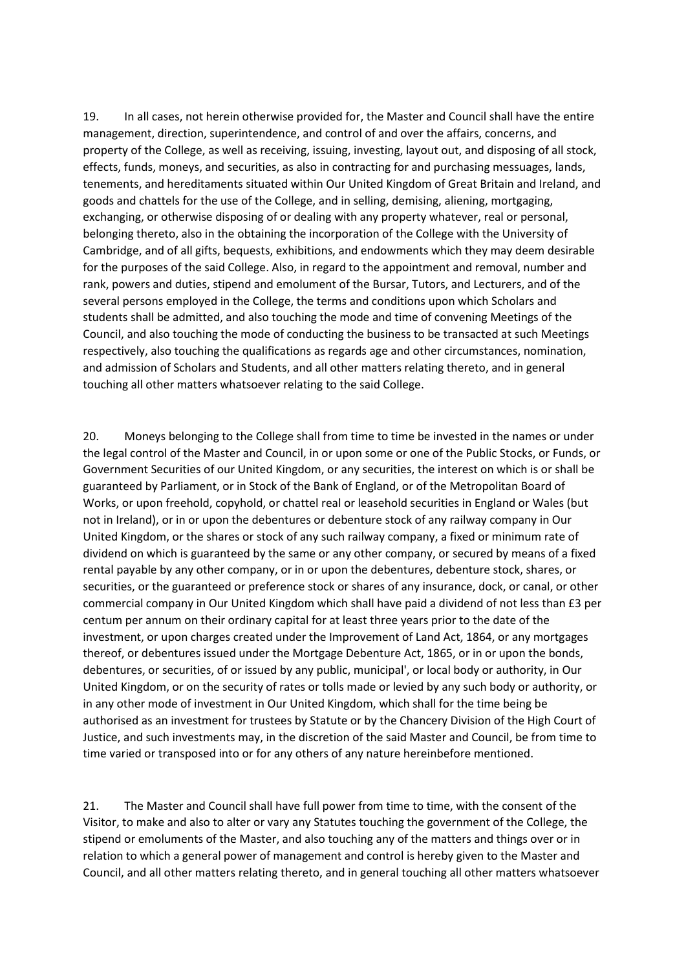19. In all cases, not herein otherwise provided for, the Master and Council shall have the entire management, direction, superintendence, and control of and over the affairs, concerns, and property of the College, as well as receiving, issuing, investing, layout out, and disposing of all stock, effects, funds, moneys, and securities, as also in contracting for and purchasing messuages, lands, tenements, and hereditaments situated within Our United Kingdom of Great Britain and Ireland, and goods and chattels for the use of the College, and in selling, demising, aliening, mortgaging, exchanging, or otherwise disposing of or dealing with any property whatever, real or personal, belonging thereto, also in the obtaining the incorporation of the College with the University of Cambridge, and of all gifts, bequests, exhibitions, and endowments which they may deem desirable for the purposes of the said College. Also, in regard to the appointment and removal, number and rank, powers and duties, stipend and emolument of the Bursar, Tutors, and Lecturers, and of the several persons employed in the College, the terms and conditions upon which Scholars and students shall be admitted, and also touching the mode and time of convening Meetings of the Council, and also touching the mode of conducting the business to be transacted at such Meetings respectively, also touching the qualifications as regards age and other circumstances, nomination, and admission of Scholars and Students, and all other matters relating thereto, and in general touching all other matters whatsoever relating to the said College.

20. Moneys belonging to the College shall from time to time be invested in the names or under the legal control of the Master and Council, in or upon some or one of the Public Stocks, or Funds, or Government Securities of our United Kingdom, or any securities, the interest on which is or shall be guaranteed by Parliament, or in Stock of the Bank of England, or of the Metropolitan Board of Works, or upon freehold, copyhold, or chattel real or leasehold securities in England or Wales (but not in Ireland), or in or upon the debentures or debenture stock of any railway company in Our United Kingdom, or the shares or stock of any such railway company, a fixed or minimum rate of dividend on which is guaranteed by the same or any other company, or secured by means of a fixed rental payable by any other company, or in or upon the debentures, debenture stock, shares, or securities, or the guaranteed or preference stock or shares of any insurance, dock, or canal, or other commercial company in Our United Kingdom which shall have paid a dividend of not less than £3 per centum per annum on their ordinary capital for at least three years prior to the date of the investment, or upon charges created under the Improvement of Land Act, 1864, or any mortgages thereof, or debentures issued under the Mortgage Debenture Act, 1865, or in or upon the bonds, debentures, or securities, of or issued by any public, municipal', or local body or authority, in Our United Kingdom, or on the security of rates or tolls made or levied by any such body or authority, or in any other mode of investment in Our United Kingdom, which shall for the time being be authorised as an investment for trustees by Statute or by the Chancery Division of the High Court of Justice, and such investments may, in the discretion of the said Master and Council, be from time to time varied or transposed into or for any others of any nature hereinbefore mentioned.

21. The Master and Council shall have full power from time to time, with the consent of the Visitor, to make and also to alter or vary any Statutes touching the government of the College, the stipend or emoluments of the Master, and also touching any of the matters and things over or in relation to which a general power of management and control is hereby given to the Master and Council, and all other matters relating thereto, and in general touching all other matters whatsoever